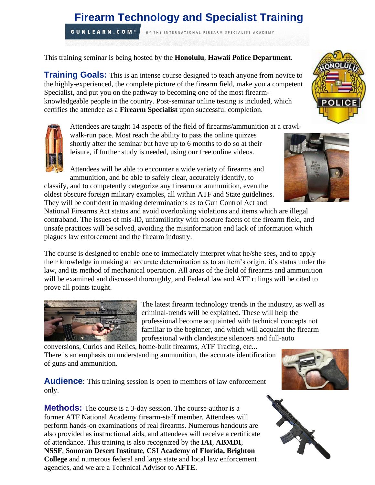# **Firearm Technology and Specialist Training**

BY THE INTERNATIONAL FIREARM SPECIALIST ACADEMY

**GUNLEARN.COM®** 

This training seminar is being hosted by the **Honolulu**, **Hawaii Police Department**.

**Training Goals:** This is an intense course designed to teach anyone from novice to the highly-experienced, the complete picture of the firearm field, make you a competent Specialist, and put you on the pathway to becoming one of the most firearmknowledgeable people in the country. Post-seminar online testing is included, which certifies the attendee as a **Firearm Specialist** upon successful completion.

Attendees are taught 14 aspects of the field of firearms/ammunition at a crawl-

walk-run pace. Most reach the ability to pass the online quizzes shortly after the seminar but have up to 6 months to do so at their leisure, if further study is needed, using our free online videos.

Attendees will be able to encounter a wide variety of firearms and



ammunition, and be able to safely clear, accurately identify, to classify, and to competently categorize any firearm or ammunition, even the oldest obscure foreign military examples, all within ATF and State guidelines. They will be confident in making determinations as to Gun Control Act and

National Firearms Act status and avoid overlooking violations and items which are illegal contraband. The issues of mis-ID, unfamiliarity with obscure facets of the firearm field, and unsafe practices will be solved, avoiding the misinformation and lack of information which plagues law enforcement and the firearm industry.

The course is designed to enable one to immediately interpret what he/she sees, and to apply their knowledge in making an accurate determination as to an item's origin, it's status under the law, and its method of mechanical operation. All areas of the field of firearms and ammunition will be examined and discussed thoroughly, and Federal law and ATF rulings will be cited to prove all points taught.



The latest firearm technology trends in the industry, as well as criminal-trends will be explained. These will help the professional become acquainted with technical concepts not familiar to the beginner, and which will acquaint the firearm professional with clandestine silencers and full-auto

conversions, Curios and Relics, home-built firearms, ATF Tracing, etc... There is an emphasis on understanding ammunition, the accurate identification of guns and ammunition.

**Audience:** This training session is open to members of law enforcement only.

**Methods:** The course is a 3-day session. The course-author is a former ATF National Academy firearm-staff member. Attendees will perform hands-on examinations of real firearms. Numerous handouts are also provided as instructional aids, and attendees will receive a certificate of attendance. This training is also recognized by the **IAI**, **ABMDI**, **NSSF**, **Sonoran Desert Institute**, **CSI Academy of Florida, Brighton College** and numerous federal and large state and local law enforcement agencies, and we are a Technical Advisor to **AFTE**.